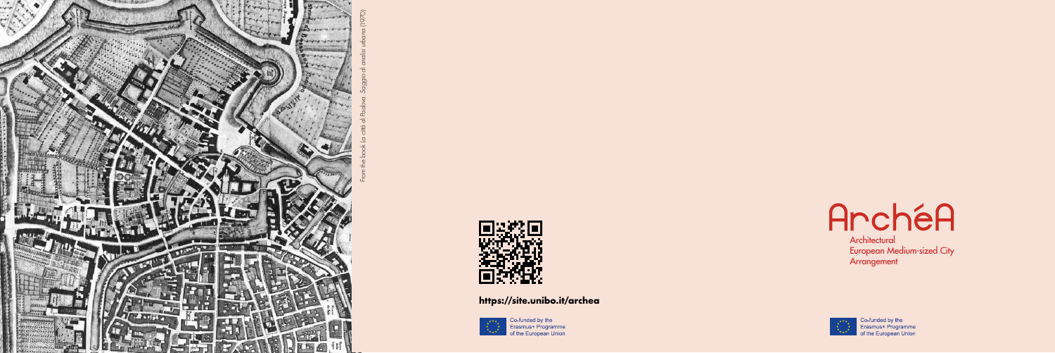European Medium-sized City **Arrangement** 



Co-funded by the<br>Erasmus+ Programme<br>of the European Union

## **https://site.unibo.it/archea**



Co-funded by the<br>Erasmus+ Programme<br>The of the European Union

Architectural



From the book *La città di Padova. Saggio di analisi urbana* (1970)